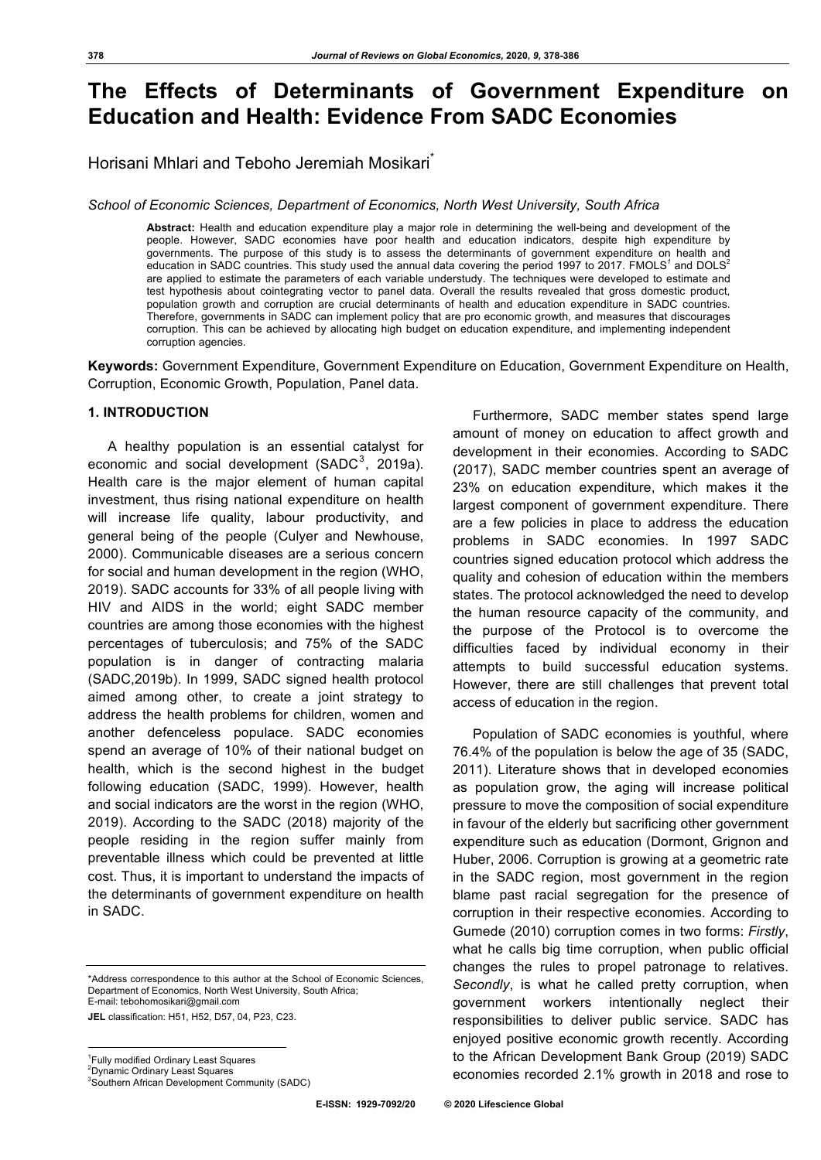# **The Effects of Determinants of Government Expenditure on Education and Health: Evidence From SADC Economies**

Horisani Mhlari and Teboho Jeremiah Mosikari<sup>®</sup>

*School of Economic Sciences, Department of Economics, North West University, South Africa*

**Abstract:** Health and education expenditure play a major role in determining the well-being and development of the people. However, SADC economies have poor health and education indicators, despite high expenditure by governments. The purpose of this study is to assess the determinants of government expenditure on health and education in SADC countries. This study used the annual data covering the period 1997 to 2017. FMOLS*<sup>1</sup>* and DOLS<sup>2</sup> are applied to estimate the parameters of each variable understudy. The techniques were developed to estimate and test hypothesis about cointegrating vector to panel data. Overall the results revealed that gross domestic product, population growth and corruption are crucial determinants of health and education expenditure in SADC countries. Therefore, governments in SADC can implement policy that are pro economic growth, and measures that discourages corruption. This can be achieved by allocating high budget on education expenditure, and implementing independent corruption agencies.

**Keywords:** Government Expenditure, Government Expenditure on Education, Government Expenditure on Health, Corruption, Economic Growth, Population, Panel data.

## **1. INTRODUCTION***<sup>12</sup>*

A healthy population is an essential catalyst for economic and social development (SADC $^3$ , 2019a). Health care is the major element of human capital investment, thus rising national expenditure on health will increase life quality, labour productivity, and general being of the people (Culyer and Newhouse, 2000). Communicable diseases are a serious concern for social and human development in the region (WHO, 2019). SADC accounts for 33% of all people living with HIV and AIDS in the world; eight SADC member countries are among those economies with the highest percentages of tuberculosis; and 75% of the SADC population is in danger of contracting malaria (SADC,2019b). In 1999, SADC signed health protocol aimed among other, to create a joint strategy to address the health problems for children, women and another defenceless populace. SADC economies spend an average of 10% of their national budget on health, which is the second highest in the budget following education (SADC, 1999). However, health and social indicators are the worst in the region (WHO, 2019). According to the SADC (2018) majority of the people residing in the region suffer mainly from preventable illness which could be prevented at little cost. Thus, it is important to understand the impacts of the determinants of government expenditure on health in SADC.

\*Address correspondence to this author at the School of Economic Sciences, Department of Economics, North West University, South Africa; E-mail: tebohomosikari@gmail.com

**JEL** classification: H51, H52, D57, 04, P23, C23.

<sup>2</sup>Dynamic Ordinary Least Squares

3 Southern African Development Community (SADC)

Furthermore, SADC member states spend large amount of money on education to affect growth and development in their economies. According to SADC (2017), SADC member countries spent an average of 23% on education expenditure, which makes it the largest component of government expenditure. There are a few policies in place to address the education problems in SADC economies. In 1997 SADC countries signed education protocol which address the quality and cohesion of education within the members states. The protocol acknowledged the need to develop the human resource capacity of the community, and the purpose of the Protocol is to overcome the difficulties faced by individual economy in their attempts to build successful education systems. However, there are still challenges that prevent total access of education in the region.

Population of SADC economies is youthful, where 76.4% of the population is below the age of 35 (SADC, 2011). Literature shows that in developed economies as population grow, the aging will increase political pressure to move the composition of social expenditure in favour of the elderly but sacrificing other government expenditure such as education (Dormont, Grignon and Huber, 2006. Corruption is growing at a geometric rate in the SADC region, most government in the region blame past racial segregation for the presence of corruption in their respective economies. According to Gumede (2010) corruption comes in two forms: *Firstly*, what he calls big time corruption, when public official changes the rules to propel patronage to relatives. *Secondly*, is what he called pretty corruption, when government workers intentionally neglect their responsibilities to deliver public service. SADC has enjoyed positive economic growth recently. According to the African Development Bank Group (2019) SADC economies recorded 2.1% growth in 2018 and rose to

<sup>|&</sup>lt;br>1 <sup>1</sup> Fully modified Ordinary Least Squares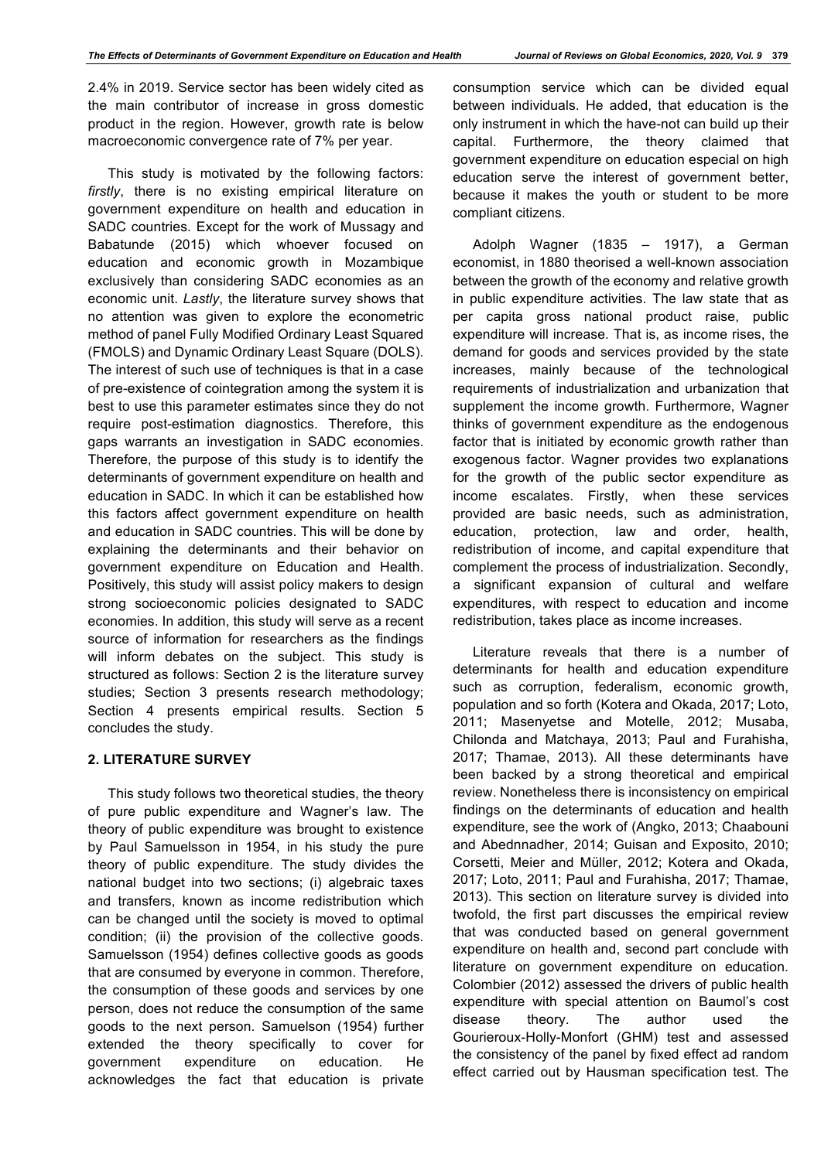2.4% in 2019. Service sector has been widely cited as the main contributor of increase in gross domestic product in the region. However, growth rate is below macroeconomic convergence rate of 7% per year.

This study is motivated by the following factors: *firstly*, there is no existing empirical literature on government expenditure on health and education in SADC countries. Except for the work of Mussagy and Babatunde (2015) which whoever focused on education and economic growth in Mozambique exclusively than considering SADC economies as an economic unit. *Lastly*, the literature survey shows that no attention was given to explore the econometric method of panel Fully Modified Ordinary Least Squared (FMOLS) and Dynamic Ordinary Least Square (DOLS). The interest of such use of techniques is that in a case of pre-existence of cointegration among the system it is best to use this parameter estimates since they do not require post-estimation diagnostics. Therefore, this gaps warrants an investigation in SADC economies. Therefore, the purpose of this study is to identify the determinants of government expenditure on health and education in SADC. In which it can be established how this factors affect government expenditure on health and education in SADC countries. This will be done by explaining the determinants and their behavior on government expenditure on Education and Health. Positively, this study will assist policy makers to design strong socioeconomic policies designated to SADC economies. In addition, this study will serve as a recent source of information for researchers as the findings will inform debates on the subiect. This study is structured as follows: Section 2 is the literature survey studies; Section 3 presents research methodology; Section 4 presents empirical results. Section 5 concludes the study.

# **2. LITERATURE SURVEY**

This study follows two theoretical studies, the theory of pure public expenditure and Wagner's law. The theory of public expenditure was brought to existence by Paul Samuelsson in 1954, in his study the pure theory of public expenditure. The study divides the national budget into two sections; (i) algebraic taxes and transfers, known as income redistribution which can be changed until the society is moved to optimal condition; (ii) the provision of the collective goods. Samuelsson (1954) defines collective goods as goods that are consumed by everyone in common. Therefore, the consumption of these goods and services by one person, does not reduce the consumption of the same goods to the next person. Samuelson (1954) further extended the theory specifically to cover for government expenditure on education. He acknowledges the fact that education is private consumption service which can be divided equal between individuals. He added, that education is the only instrument in which the have-not can build up their capital. Furthermore, the theory claimed that government expenditure on education especial on high education serve the interest of government better, because it makes the youth or student to be more compliant citizens.

Adolph Wagner (1835 – 1917), a German economist, in 1880 theorised a well-known association between the growth of the economy and relative growth in public expenditure activities. The law state that as per capita gross national product raise, public expenditure will increase. That is, as income rises, the demand for goods and services provided by the state increases, mainly because of the technological requirements of industrialization and urbanization that supplement the income growth. Furthermore, Wagner thinks of government expenditure as the endogenous factor that is initiated by economic growth rather than exogenous factor. Wagner provides two explanations for the growth of the public sector expenditure as income escalates. Firstly, when these services provided are basic needs, such as administration, education, protection, law and order, health, redistribution of income, and capital expenditure that complement the process of industrialization. Secondly, a significant expansion of cultural and welfare expenditures, with respect to education and income redistribution, takes place as income increases.

Literature reveals that there is a number of determinants for health and education expenditure such as corruption, federalism, economic growth, population and so forth (Kotera and Okada, 2017; Loto, 2011; Masenyetse and Motelle, 2012; Musaba, Chilonda and Matchaya, 2013; Paul and Furahisha, 2017; Thamae, 2013). All these determinants have been backed by a strong theoretical and empirical review. Nonetheless there is inconsistency on empirical findings on the determinants of education and health expenditure, see the work of (Angko, 2013; Chaabouni and Abednnadher, 2014; Guisan and Exposito, 2010; Corsetti, Meier and Müller, 2012; Kotera and Okada, 2017; Loto, 2011; Paul and Furahisha, 2017; Thamae, 2013). This section on literature survey is divided into twofold, the first part discusses the empirical review that was conducted based on general government expenditure on health and, second part conclude with literature on government expenditure on education. Colombier (2012) assessed the drivers of public health expenditure with special attention on Baumol's cost disease theory. The author used the Gourieroux-Holly-Monfort (GHM) test and assessed the consistency of the panel by fixed effect ad random effect carried out by Hausman specification test. The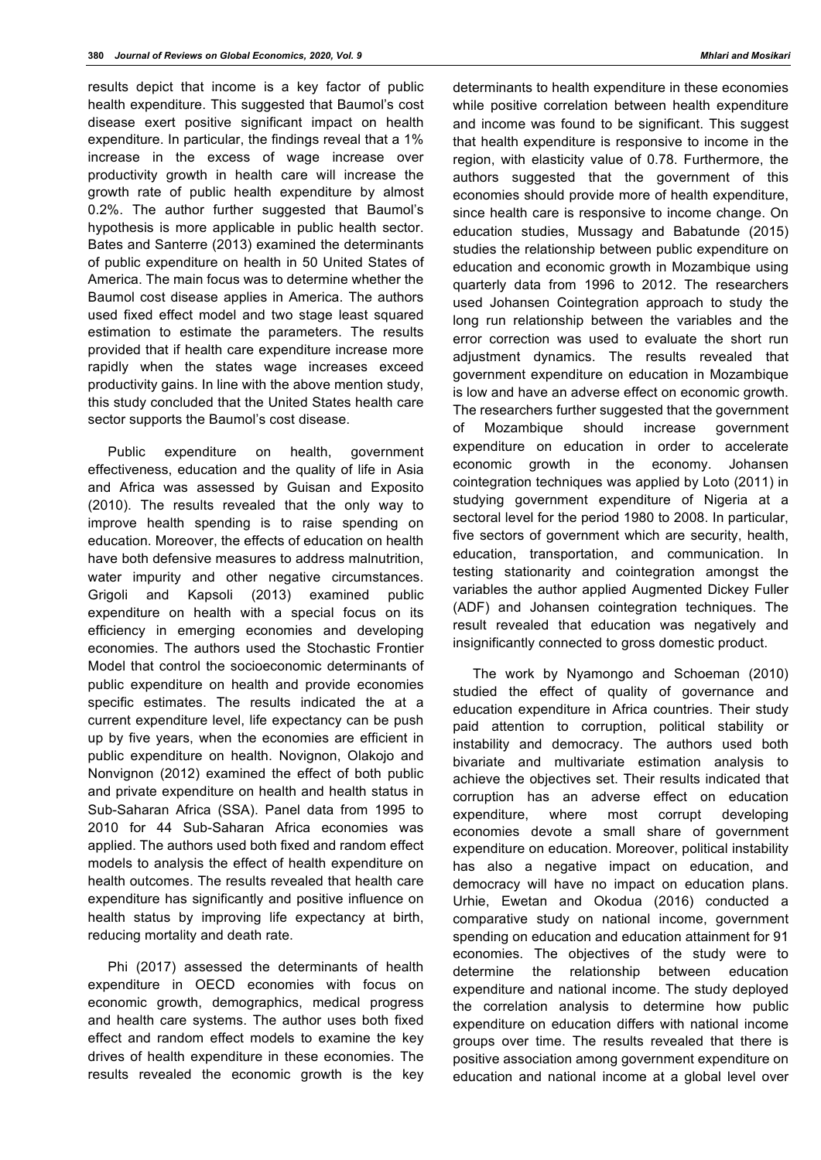results depict that income is a key factor of public health expenditure. This suggested that Baumol's cost disease exert positive significant impact on health expenditure. In particular, the findings reveal that a 1% increase in the excess of wage increase over productivity growth in health care will increase the growth rate of public health expenditure by almost 0.2%. The author further suggested that Baumol's hypothesis is more applicable in public health sector. Bates and Santerre (2013) examined the determinants of public expenditure on health in 50 United States of America. The main focus was to determine whether the Baumol cost disease applies in America. The authors used fixed effect model and two stage least squared estimation to estimate the parameters. The results provided that if health care expenditure increase more rapidly when the states wage increases exceed productivity gains. In line with the above mention study, this study concluded that the United States health care sector supports the Baumol's cost disease.

Public expenditure on health, government effectiveness, education and the quality of life in Asia and Africa was assessed by Guisan and Exposito (2010). The results revealed that the only way to improve health spending is to raise spending on education. Moreover, the effects of education on health have both defensive measures to address malnutrition, water impurity and other negative circumstances. Grigoli and Kapsoli (2013) examined public expenditure on health with a special focus on its efficiency in emerging economies and developing economies. The authors used the Stochastic Frontier Model that control the socioeconomic determinants of public expenditure on health and provide economies specific estimates. The results indicated the at a current expenditure level, life expectancy can be push up by five years, when the economies are efficient in public expenditure on health. Novignon, Olakojo and Nonvignon (2012) examined the effect of both public and private expenditure on health and health status in Sub-Saharan Africa (SSA). Panel data from 1995 to 2010 for 44 Sub-Saharan Africa economies was applied. The authors used both fixed and random effect models to analysis the effect of health expenditure on health outcomes. The results revealed that health care expenditure has significantly and positive influence on health status by improving life expectancy at birth, reducing mortality and death rate.

Phi (2017) assessed the determinants of health expenditure in OECD economies with focus on economic growth, demographics, medical progress and health care systems. The author uses both fixed effect and random effect models to examine the key drives of health expenditure in these economies. The results revealed the economic growth is the key determinants to health expenditure in these economies while positive correlation between health expenditure and income was found to be significant. This suggest that health expenditure is responsive to income in the region, with elasticity value of 0.78. Furthermore, the authors suggested that the government of this economies should provide more of health expenditure, since health care is responsive to income change. On education studies, Mussagy and Babatunde (2015) studies the relationship between public expenditure on education and economic growth in Mozambique using quarterly data from 1996 to 2012. The researchers used Johansen Cointegration approach to study the long run relationship between the variables and the error correction was used to evaluate the short run adjustment dynamics. The results revealed that government expenditure on education in Mozambique is low and have an adverse effect on economic growth. The researchers further suggested that the government of Mozambique should increase government expenditure on education in order to accelerate economic growth in the economy. Johansen cointegration techniques was applied by Loto (2011) in studying government expenditure of Nigeria at a sectoral level for the period 1980 to 2008. In particular, five sectors of government which are security, health, education, transportation, and communication. In testing stationarity and cointegration amongst the variables the author applied Augmented Dickey Fuller (ADF) and Johansen cointegration techniques. The result revealed that education was negatively and insignificantly connected to gross domestic product.

The work by Nyamongo and Schoeman (2010) studied the effect of quality of governance and education expenditure in Africa countries. Their study paid attention to corruption, political stability or instability and democracy. The authors used both bivariate and multivariate estimation analysis to achieve the objectives set. Their results indicated that corruption has an adverse effect on education expenditure, where most corrupt developing economies devote a small share of government expenditure on education. Moreover, political instability has also a negative impact on education, and democracy will have no impact on education plans. Urhie, Ewetan and Okodua (2016) conducted a comparative study on national income, government spending on education and education attainment for 91 economies. The objectives of the study were to determine the relationship between education expenditure and national income. The study deployed the correlation analysis to determine how public expenditure on education differs with national income groups over time. The results revealed that there is positive association among government expenditure on education and national income at a global level over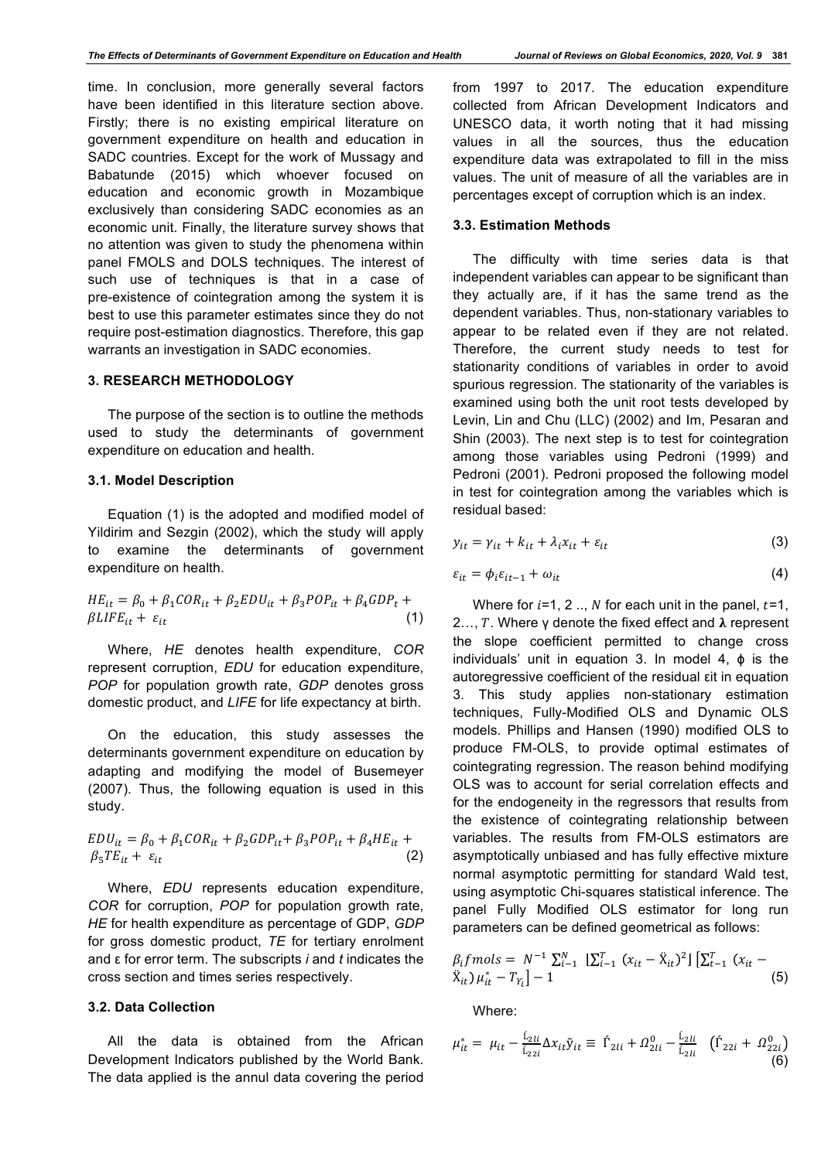time. In conclusion, more generally several factors have been identified in this literature section above. Firstly; there is no existing empirical literature on government expenditure on health and education in SADC countries. Except for the work of Mussagy and Babatunde (2015) which whoever focused on education and economic growth in Mozambique exclusively than considering SADC economies as an economic unit. Finally, the literature survey shows that no attention was given to study the phenomena within panel FMOLS and DOLS techniques. The interest of such use of techniques is that in a case of pre-existence of cointegration among the system it is best to use this parameter estimates since they do not require post-estimation diagnostics. Therefore, this gap warrants an investigation in SADC economies.

#### **3. RESEARCH METHODOLOGY**

The purpose of the section is to outline the methods used to study the determinants of government expenditure on education and health.

## **3.1. Model Description**

Equation (1) is the adopted and modified model of Yildirim and Sezgin (2002), which the study will apply to examine the determinants of government expenditure on health.

$$
HE_{it} = \beta_0 + \beta_1 COR_{it} + \beta_2 EDU_{it} + \beta_3 POP_{it} + \beta_4 GDP_t + \beta LIF_{it} + \varepsilon_{it}
$$
\n(1)

Where, *HE* denotes health expenditure, *COR* represent corruption, *EDU* for education expenditure, *POP* for population growth rate, *GDP* denotes gross domestic product, and *LIFE* for life expectancy at birth.

On the education, this study assesses the determinants government expenditure on education by adapting and modifying the model of Busemeyer (2007). Thus, the following equation is used in this study.

$$
EDU_{it} = \beta_0 + \beta_1 COR_{it} + \beta_2 GDP_{it} + \beta_3 POP_{it} + \beta_4 HE_{it} + \beta_5 TE_{it} + \varepsilon_{it}
$$
\n(2)

Where, *EDU* represents education expenditure, *COR* for corruption, *POP* for population growth rate, *HE* for health expenditure as percentage of GDP, *GDP* for gross domestic product, *TE* for tertiary enrolment and ε for error term. The subscripts *i* and *t* indicates the cross section and times series respectively.

#### **3.2. Data Collection**

All the data is obtained from the African Development Indicators published by the World Bank. The data applied is the annul data covering the period from 1997 to 2017. The education expenditure collected from African Development Indicators and UNESCO data, it worth noting that it had missing values in all the sources, thus the education expenditure data was extrapolated to fill in the miss values. The unit of measure of all the variables are in percentages except of corruption which is an index.

## **3.3. Estimation Methods**

The difficulty with time series data is that independent variables can appear to be significant than they actually are, if it has the same trend as the dependent variables. Thus, non-stationary variables to appear to be related even if they are not related. Therefore, the current study needs to test for stationarity conditions of variables in order to avoid spurious regression. The stationarity of the variables is examined using both the unit root tests developed by Levin, Lin and Chu (LLC) (2002) and Im, Pesaran and Shin (2003). The next step is to test for cointegration among those variables using Pedroni (1999) and Pedroni (2001). Pedroni proposed the following model in test for cointegration among the variables which is residual based:

$$
y_{it} = \gamma_{it} + k_{it} + \lambda_i x_{it} + \varepsilon_{it}
$$
 (3)

$$
\varepsilon_{it} = \phi_i \varepsilon_{it-1} + \omega_{it} \tag{4}
$$

Where for  $i=1, 2...$ , N for each unit in the panel,  $t=1$ , 2..., T. Where γ denote the fixed effect and  $\lambda$  represent the slope coefficient permitted to change cross individuals' unit in equation 3. In model 4,  $\phi$  is the autoregressive coefficient of the residual εit in equation 3. This study applies non-stationary estimation techniques, Fully-Modified OLS and Dynamic OLS models. Phillips and Hansen (1990) modified OLS to produce FM-OLS, to provide optimal estimates of cointegrating regression. The reason behind modifying OLS was to account for serial correlation effects and for the endogeneity in the regressors that results from the existence of cointegrating relationship between variables. The results from FM-OLS estimators are asymptotically unbiased and has fully effective mixture normal asymptotic permitting for standard Wald test, using asymptotic Chi-squares statistical inference. The panel Fully Modified OLS estimator for long run parameters can be defined geometrical as follows:

$$
\beta_i f \text{mols} = N^{-1} \sum_{i=1}^{N} \left[ \sum_{i=1}^{T} (x_{it} - \ddot{X}_{it})^2 \right] \left[ \sum_{t=1}^{T} (x_{it} - \ddot{X}_{it}) \mu_{it}^* - T_{Y_i} \right] - 1 \tag{5}
$$

Where:

$$
\mu_{it}^* = \mu_{it} - \frac{L_{2li}}{L_{22i}} \Delta x_{it} \tilde{y}_{it} \equiv \hat{\Gamma}_{2li} + \Omega_{2li}^0 - \frac{L_{2li}}{L_{2li}} \left( \hat{\Gamma}_{22i} + \Omega_{22i}^0 \right)
$$
(6)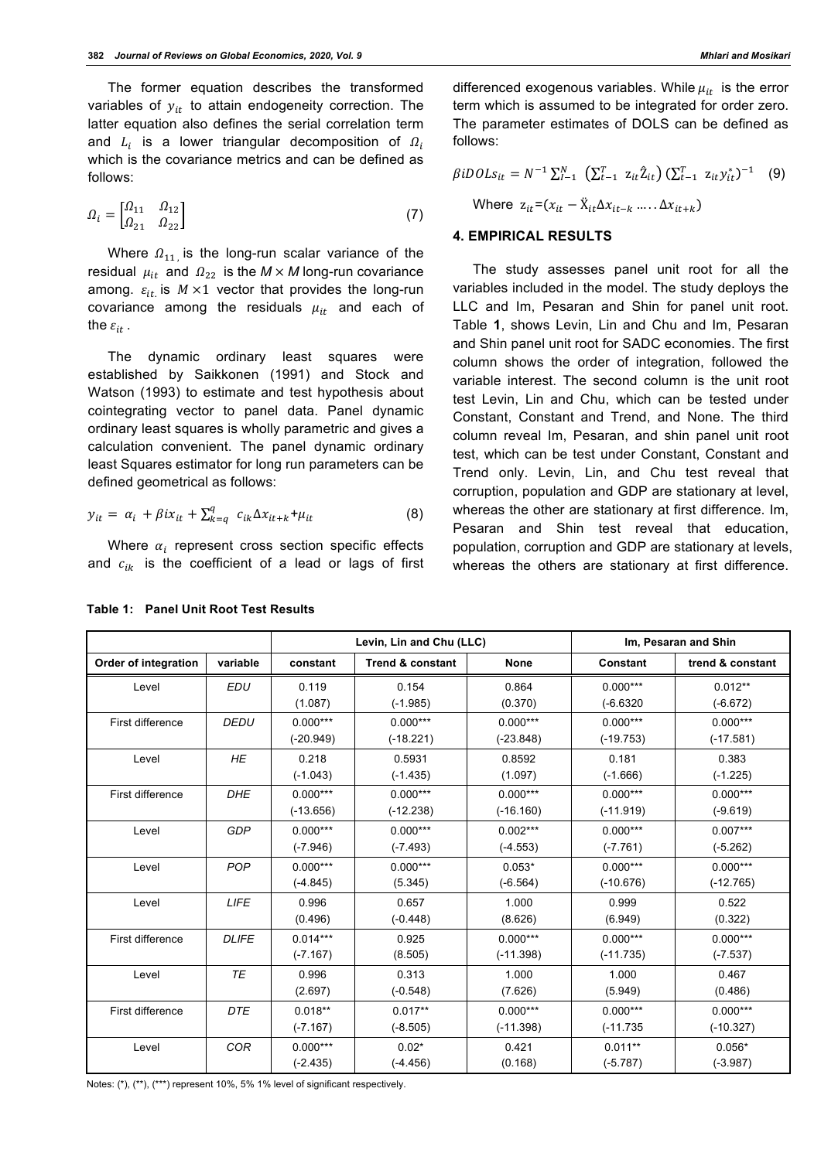The former equation describes the transformed variables of  $y_{it}$  to attain endogeneity correction. The latter equation also defines the serial correlation term and  $L_i$  is a lower triangular decomposition of  $\Omega_i$ which is the covariance metrics and can be defined as follows:

$$
\Omega_i = \begin{bmatrix} \Omega_{11} & \Omega_{12} \\ \Omega_{21} & \Omega_{22} \end{bmatrix} \tag{7}
$$

Where  $\Omega_{11}$  is the long-run scalar variance of the residual  $\mu_{it}$  and  $\Omega_{22}$  is the  $M \times M$  long-run covariance among.  $\varepsilon_{it}$  is  $M \times 1$  vector that provides the long-run covariance among the residuals  $\mu_{it}$  and each of the  $\varepsilon_{it}$ .

The dynamic ordinary least squares were established by Saikkonen (1991) and Stock and Watson (1993) to estimate and test hypothesis about cointegrating vector to panel data. Panel dynamic ordinary least squares is wholly parametric and gives a calculation convenient. The panel dynamic ordinary least Squares estimator for long run parameters can be defined geometrical as follows:

$$
y_{it} = \alpha_i + \beta i x_{it} + \sum_{k=q}^{q} c_{ik} \Delta x_{it+k} + \mu_{it}
$$
 (8)

Where  $\alpha_i$  represent cross section specific effects and  $c_{ik}$  is the coefficient of a lead or lags of first differenced exogenous variables. While  $\mu_{it}$  is the error term which is assumed to be integrated for order zero. The parameter estimates of DOLS can be defined as

$$
\beta iDOLs_{it} = N^{-1} \sum_{l=1}^{N} \left( \sum_{t=1}^{T} z_{it} \hat{Z}_{it} \right) (\sum_{t=1}^{T} z_{it} y_{it}^{*})^{-1} \quad (9)
$$
  
Where  $z_{it} = (x_{it} - \ddot{X}_{it} \Delta x_{it-k} \dots \Delta x_{it+k})$ 

#### **4. EMPIRICAL RESULTS**

follows:

The study assesses panel unit root for all the variables included in the model. The study deploys the LLC and Im, Pesaran and Shin for panel unit root. Table **1**, shows Levin, Lin and Chu and Im, Pesaran and Shin panel unit root for SADC economies. The first column shows the order of integration, followed the variable interest. The second column is the unit root test Levin, Lin and Chu, which can be tested under Constant, Constant and Trend, and None. The third column reveal Im, Pesaran, and shin panel unit root test, which can be test under Constant, Constant and Trend only. Levin, Lin, and Chu test reveal that corruption, population and GDP are stationary at level, whereas the other are stationary at first difference. Im, Pesaran and Shin test reveal that education, population, corruption and GDP are stationary at levels, whereas the others are stationary at first difference.

|                      |              | Levin, Lin and Chu (LLC) |                             | Im, Pesaran and Shin |                 |                  |
|----------------------|--------------|--------------------------|-----------------------------|----------------------|-----------------|------------------|
| Order of integration | variable     | constant                 | <b>Trend &amp; constant</b> | <b>None</b>          | <b>Constant</b> | trend & constant |
| Level                | <b>EDU</b>   | 0.119                    | 0.154                       | 0.864                | $0.000***$      | $0.012**$        |
|                      |              | (1.087)                  | $(-1.985)$                  | (0.370)              | $(-6.6320)$     | $(-6.672)$       |
| First difference     | <b>DEDU</b>  | $0.000***$               | $0.000***$                  | $0.000***$           | $0.000***$      | $0.000***$       |
|                      |              | $(-20.949)$              | $(-18.221)$                 | $(-23.848)$          | $(-19.753)$     | $(-17.581)$      |
| Level                | <b>HE</b>    | 0.218                    | 0.5931                      | 0.8592               | 0.181           | 0.383            |
|                      |              | $(-1.043)$               | $(-1.435)$                  | (1.097)              | $(-1.666)$      | $(-1.225)$       |
| First difference     | <b>DHE</b>   | $0.000***$               | $0.000***$                  | $0.000***$           | $0.000***$      | $0.000***$       |
|                      |              | $(-13.656)$              | $(-12.238)$                 | $(-16.160)$          | $(-11.919)$     | $(-9.619)$       |
| Level                | GDP          | $0.000***$               | $0.000***$                  | $0.002***$           | $0.000***$      | $0.007***$       |
|                      |              | $(-7.946)$               | $(-7.493)$                  | $(-4.553)$           | $(-7.761)$      | $(-5.262)$       |
| Level                | <b>POP</b>   | $0.000***$               | $0.000***$                  | $0.053*$             | $0.000***$      | $0.000***$       |
|                      |              | $(-4.845)$               | (5.345)                     | $(-6.564)$           | $(-10.676)$     | $(-12.765)$      |
| Level                | <b>LIFE</b>  | 0.996                    | 0.657                       | 1.000                | 0.999           | 0.522            |
|                      |              | (0.496)                  | $(-0.448)$                  | (8.626)              | (6.949)         | (0.322)          |
| First difference     | <b>DLIFE</b> | $0.014***$               | 0.925                       | $0.000***$           | $0.000***$      | $0.000***$       |
|                      |              | $(-7.167)$               | (8.505)                     | $(-11.398)$          | $(-11.735)$     | $(-7.537)$       |
| Level                | <b>TE</b>    | 0.996                    | 0.313                       | 1.000                | 1.000           | 0.467            |
|                      |              | (2.697)                  | $(-0.548)$                  | (7.626)              | (5.949)         | (0.486)          |
| First difference     | <b>DTE</b>   | $0.018**$                | $0.017**$                   | $0.000***$           | $0.000***$      | $0.000***$       |
|                      |              | $(-7.167)$               | $(-8.505)$                  | $(-11.398)$          | $(-11.735)$     | $(-10.327)$      |
| Level                | <b>COR</b>   | $0.000***$               | $0.02*$                     | 0.421                | $0.011**$       | $0.056*$         |
|                      |              | $(-2.435)$               | $(-4.456)$                  | (0.168)              | $(-5.787)$      | $(-3.987)$       |

**Table 1: Panel Unit Root Test Results**

Notes: (\*), (\*\*), (\*\*\*) represent 10%, 5% 1% level of significant respectively.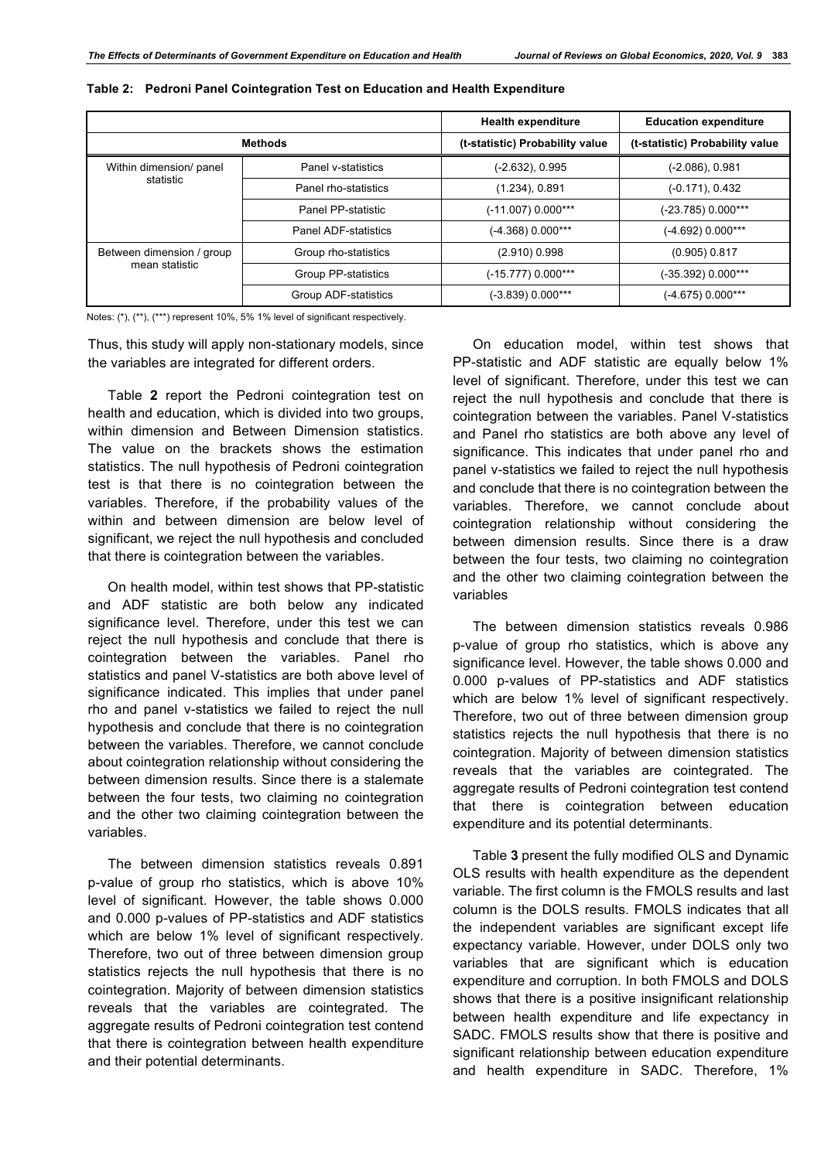|                                             |                             | <b>Health expenditure</b>       | <b>Education expenditure</b>    |  |
|---------------------------------------------|-----------------------------|---------------------------------|---------------------------------|--|
| <b>Methods</b>                              |                             | (t-statistic) Probability value | (t-statistic) Probability value |  |
| Within dimension/ panel<br>statistic        | Panel v-statistics          | (-2.632), 0.995                 | $(-2.086)$ , 0.981              |  |
|                                             | Panel rho-statistics        | $(1.234)$ , 0.891               | $(-0.171)$ , $0.432$            |  |
|                                             | Panel PP-statistic          | $(-11.007)$ 0.000***            | (-23.785) 0.000***              |  |
|                                             | <b>Panel ADF-statistics</b> | (-4.368) 0.000***               | (-4.692) 0.000***               |  |
| Between dimension / group<br>mean statistic | Group rho-statistics        | (2.910) 0.998                   | (0.905) 0.817                   |  |
|                                             | Group PP-statistics         | (-15.777) 0.000***              | (-35.392) 0.000***              |  |
|                                             | Group ADF-statistics        | $(-3.839)$ 0.000***             | (-4.675) 0.000***               |  |

#### **Table 2: Pedroni Panel Cointegration Test on Education and Health Expenditure**

Notes: (\*), (\*\*), (\*\*\*) represent 10%, 5% 1% level of significant respectively.

Thus, this study will apply non-stationary models, since the variables are integrated for different orders.

Table **2** report the Pedroni cointegration test on health and education, which is divided into two groups, within dimension and Between Dimension statistics. The value on the brackets shows the estimation statistics. The null hypothesis of Pedroni cointegration test is that there is no cointegration between the variables. Therefore, if the probability values of the within and between dimension are below level of significant, we reject the null hypothesis and concluded that there is cointegration between the variables.

On health model, within test shows that PP-statistic and ADF statistic are both below any indicated significance level. Therefore, under this test we can reject the null hypothesis and conclude that there is cointegration between the variables. Panel rho statistics and panel V-statistics are both above level of significance indicated. This implies that under panel rho and panel v-statistics we failed to reject the null hypothesis and conclude that there is no cointegration between the variables. Therefore, we cannot conclude about cointegration relationship without considering the between dimension results. Since there is a stalemate between the four tests, two claiming no cointegration and the other two claiming cointegration between the variables.

The between dimension statistics reveals 0.891 p-value of group rho statistics, which is above 10% level of significant. However, the table shows 0.000 and 0.000 p-values of PP-statistics and ADF statistics which are below 1% level of significant respectively. Therefore, two out of three between dimension group statistics rejects the null hypothesis that there is no cointegration. Majority of between dimension statistics reveals that the variables are cointegrated. The aggregate results of Pedroni cointegration test contend that there is cointegration between health expenditure and their potential determinants.

On education model, within test shows that PP-statistic and ADF statistic are equally below 1% level of significant. Therefore, under this test we can reject the null hypothesis and conclude that there is cointegration between the variables. Panel V-statistics and Panel rho statistics are both above any level of significance. This indicates that under panel rho and panel v-statistics we failed to reject the null hypothesis and conclude that there is no cointegration between the variables. Therefore, we cannot conclude about cointegration relationship without considering the between dimension results. Since there is a draw between the four tests, two claiming no cointegration and the other two claiming cointegration between the variables

The between dimension statistics reveals 0.986 p-value of group rho statistics, which is above any significance level. However, the table shows 0.000 and 0.000 p-values of PP-statistics and ADF statistics which are below 1% level of significant respectively. Therefore, two out of three between dimension group statistics rejects the null hypothesis that there is no cointegration. Majority of between dimension statistics reveals that the variables are cointegrated. The aggregate results of Pedroni cointegration test contend that there is cointegration between education expenditure and its potential determinants.

Table **3** present the fully modified OLS and Dynamic OLS results with health expenditure as the dependent variable. The first column is the FMOLS results and last column is the DOLS results. FMOLS indicates that all the independent variables are significant except life expectancy variable. However, under DOLS only two variables that are significant which is education expenditure and corruption. In both FMOLS and DOLS shows that there is a positive insignificant relationship between health expenditure and life expectancy in SADC. FMOLS results show that there is positive and significant relationship between education expenditure and health expenditure in SADC. Therefore, 1%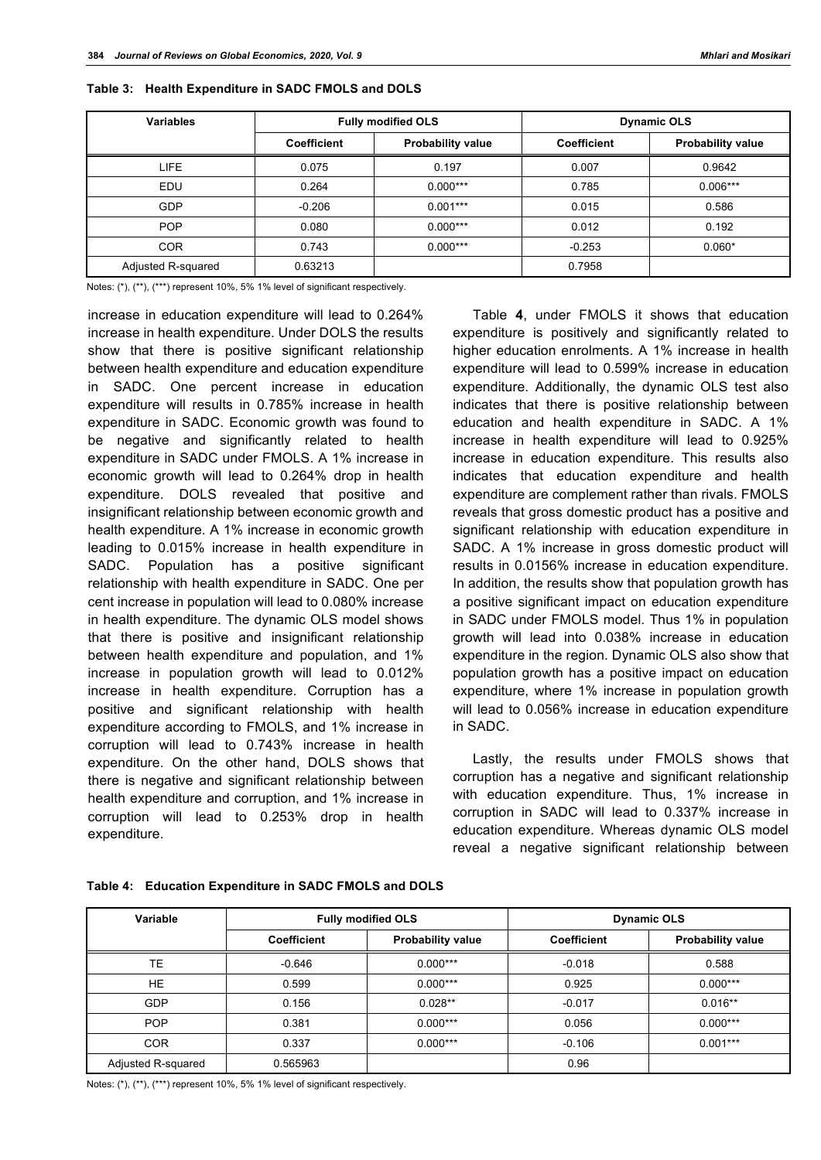| <b>Variables</b>   | <b>Fully modified OLS</b> |                          | <b>Dynamic OLS</b> |                          |  |
|--------------------|---------------------------|--------------------------|--------------------|--------------------------|--|
|                    | <b>Coefficient</b>        | <b>Probability value</b> | <b>Coefficient</b> | <b>Probability value</b> |  |
| <b>LIFE</b>        | 0.075                     | 0.197                    | 0.007              | 0.9642                   |  |
| EDU                | 0.264                     | $0.000***$               | 0.785              | $0.006***$               |  |
| <b>GDP</b>         | $-0.206$                  | $0.001***$               | 0.015              | 0.586                    |  |
| <b>POP</b>         | 0.080                     | $0.000***$               | 0.012              | 0.192                    |  |
| <b>COR</b>         | 0.743                     | $0.000***$               | $-0.253$           | $0.060*$                 |  |
| Adjusted R-squared | 0.63213                   |                          | 0.7958             |                          |  |

|  |  | Table 3: Health Expenditure in SADC FMOLS and DOLS |  |  |  |  |  |  |
|--|--|----------------------------------------------------|--|--|--|--|--|--|
|--|--|----------------------------------------------------|--|--|--|--|--|--|

Notes: (\*), (\*\*), (\*\*\*) represent 10%, 5% 1% level of significant respectively.

increase in education expenditure will lead to 0.264% increase in health expenditure. Under DOLS the results show that there is positive significant relationship between health expenditure and education expenditure in SADC. One percent increase in education expenditure will results in 0.785% increase in health expenditure in SADC. Economic growth was found to be negative and significantly related to health expenditure in SADC under FMOLS. A 1% increase in economic growth will lead to 0.264% drop in health expenditure. DOLS revealed that positive and insignificant relationship between economic growth and health expenditure. A 1% increase in economic growth leading to 0.015% increase in health expenditure in SADC. Population has a positive significant relationship with health expenditure in SADC. One per cent increase in population will lead to 0.080% increase in health expenditure. The dynamic OLS model shows that there is positive and insignificant relationship between health expenditure and population, and 1% increase in population growth will lead to 0.012% increase in health expenditure. Corruption has a positive and significant relationship with health expenditure according to FMOLS, and 1% increase in corruption will lead to 0.743% increase in health expenditure. On the other hand, DOLS shows that there is negative and significant relationship between health expenditure and corruption, and 1% increase in corruption will lead to 0.253% drop in health expenditure.

Table **4**, under FMOLS it shows that education expenditure is positively and significantly related to higher education enrolments. A 1% increase in health expenditure will lead to 0.599% increase in education expenditure. Additionally, the dynamic OLS test also indicates that there is positive relationship between education and health expenditure in SADC. A 1% increase in health expenditure will lead to 0.925% increase in education expenditure. This results also indicates that education expenditure and health expenditure are complement rather than rivals. FMOLS reveals that gross domestic product has a positive and significant relationship with education expenditure in SADC. A 1% increase in gross domestic product will results in 0.0156% increase in education expenditure. In addition, the results show that population growth has a positive significant impact on education expenditure in SADC under FMOLS model. Thus 1% in population growth will lead into 0.038% increase in education expenditure in the region. Dynamic OLS also show that population growth has a positive impact on education expenditure, where 1% increase in population growth will lead to 0.056% increase in education expenditure in SADC.

Lastly, the results under FMOLS shows that corruption has a negative and significant relationship with education expenditure. Thus, 1% increase in corruption in SADC will lead to 0.337% increase in education expenditure. Whereas dynamic OLS model reveal a negative significant relationship between

| Variable           | <b>Fully modified OLS</b> |                          |                    | <b>Dynamic OLS</b>       |  |  |
|--------------------|---------------------------|--------------------------|--------------------|--------------------------|--|--|
|                    | <b>Coefficient</b>        | <b>Probability value</b> | <b>Coefficient</b> | <b>Probability value</b> |  |  |
| TЕ                 | $-0.646$                  | $0.000***$               | $-0.018$           | 0.588                    |  |  |
| <b>HE</b>          | 0.599                     | $0.000***$               | 0.925              | $0.000***$               |  |  |
| <b>GDP</b>         | 0.156                     | $0.028**$                | $-0.017$           | $0.016**$                |  |  |
| <b>POP</b>         | 0.381                     | $0.000***$               | 0.056              | $0.000***$               |  |  |
| <b>COR</b>         | 0.337                     | $0.000***$               | $-0.106$           | $0.001***$               |  |  |
| Adjusted R-squared | 0.565963                  |                          | 0.96               |                          |  |  |

#### **Table 4: Education Expenditure in SADC FMOLS and DOLS**

Notes: (\*), (\*\*), (\*\*\*) represent 10%, 5% 1% level of significant respectively.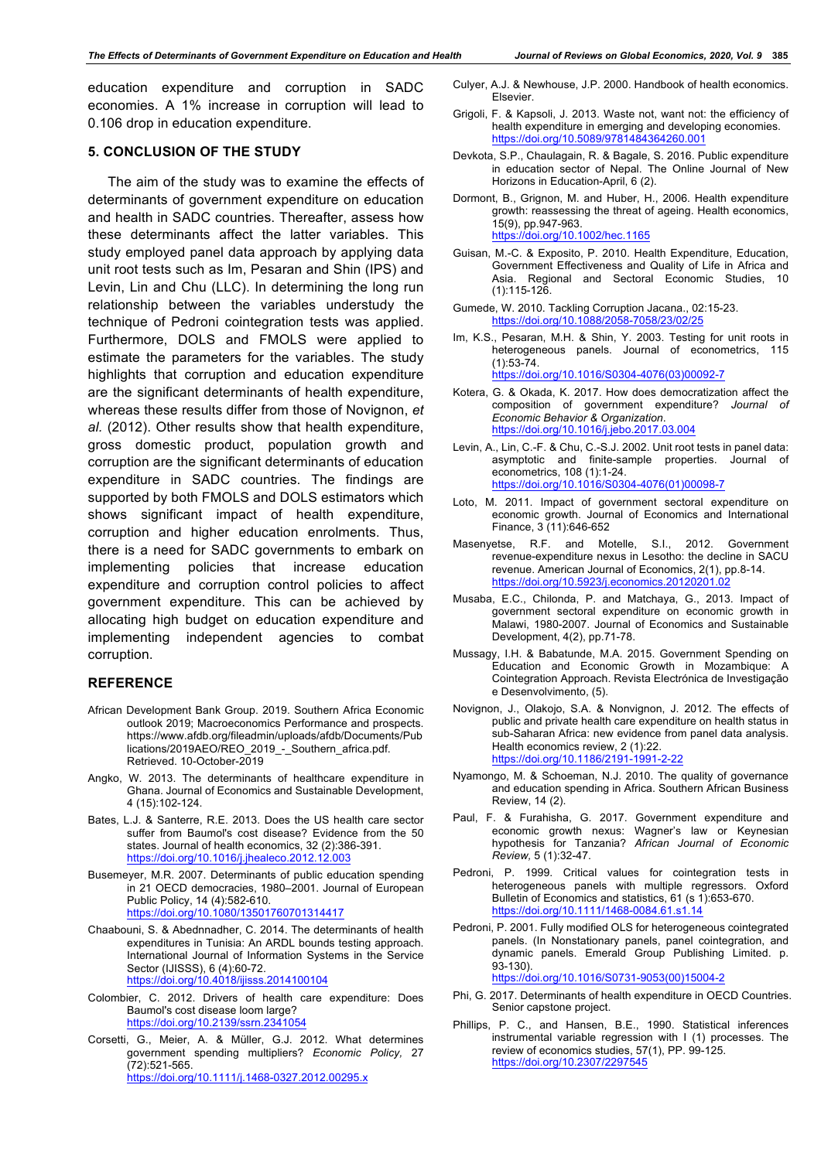education expenditure and corruption in SADC economies. A 1% increase in corruption will lead to 0.106 drop in education expenditure.

#### **5. CONCLUSION OF THE STUDY**

The aim of the study was to examine the effects of determinants of government expenditure on education and health in SADC countries. Thereafter, assess how these determinants affect the latter variables. This study employed panel data approach by applying data unit root tests such as Im, Pesaran and Shin (IPS) and Levin, Lin and Chu (LLC). In determining the long run relationship between the variables understudy the technique of Pedroni cointegration tests was applied. Furthermore, DOLS and FMOLS were applied to estimate the parameters for the variables. The study highlights that corruption and education expenditure are the significant determinants of health expenditure, whereas these results differ from those of Novignon, *et al.* (2012). Other results show that health expenditure, gross domestic product, population growth and corruption are the significant determinants of education expenditure in SADC countries. The findings are supported by both FMOLS and DOLS estimators which shows significant impact of health expenditure, corruption and higher education enrolments. Thus, there is a need for SADC governments to embark on implementing policies that increase education expenditure and corruption control policies to affect government expenditure. This can be achieved by allocating high budget on education expenditure and implementing independent agencies to combat corruption.

#### **REFERENCE**

- African Development Bank Group. 2019. Southern Africa Economic outlook 2019; Macroeconomics Performance and prospects. https://www.afdb.org/fileadmin/uploads/afdb/Documents/Pub lications/2019AEO/REO\_2019\_-\_Southern\_africa.pdf. Retrieved. 10-October-2019
- Angko, W. 2013. The determinants of healthcare expenditure in Ghana. Journal of Economics and Sustainable Development, 4 (15):102-124.
- Bates, L.J. & Santerre, R.E. 2013. Does the US health care sector suffer from Baumol's cost disease? Evidence from the 50 states. Journal of health economics, 32 (2):386-391. https://doi.org/10.1016/j.jhealeco.2012.12.003
- Busemeyer, M.R. 2007. Determinants of public education spending in 21 OECD democracies, 1980–2001. Journal of European Public Policy, 14 (4):582-610. https://doi.org/10.1080/13501760701314417
- Chaabouni, S. & Abednnadher, C. 2014. The determinants of health expenditures in Tunisia: An ARDL bounds testing approach. International Journal of Information Systems in the Service Sector (IJISSS), 6 (4):60-72. https://doi.org/10.4018/ijisss.2014100104
- Colombier, C. 2012. Drivers of health care expenditure: Does Baumol's cost disease loom large? https://doi.org/10.2139/ssrn.2341054
- Corsetti, G., Meier, A. & Müller, G.J. 2012. What determines government spending multipliers? *Economic Policy,* 27 (72):521-565. https://doi.org/10.1111/j.1468-0327.2012.00295.x
- Culyer, A.J. & Newhouse, J.P. 2000. Handbook of health economics. Elsevier.
- Grigoli, F. & Kapsoli, J. 2013. Waste not, want not: the efficiency of health expenditure in emerging and developing economies. https://doi.org/10.5089/9781484364260.001
- Devkota, S.P., Chaulagain, R. & Bagale, S. 2016. Public expenditure in education sector of Nepal. The Online Journal of New Horizons in Education-April, 6 (2).
- Dormont, B., Grignon, M. and Huber, H., 2006. Health expenditure growth: reassessing the threat of ageing. Health economics, 15(9), pp.947-963. https://doi.org/10.1002/hec.1165
- Guisan, M.-C. & Exposito, P. 2010. Health Expenditure, Education, Government Effectiveness and Quality of Life in Africa and Asia. Regional and Sectoral Economic Studies, 10 (1):115-126.
- Gumede, W. 2010. Tackling Corruption Jacana., 02:15-23. https://doi.org/10.1088/2058-7058/23/02/25
- Im, K.S., Pesaran, M.H. & Shin, Y. 2003. Testing for unit roots in heterogeneous panels. Journal of econometrics, 115 (1):53-74. https://doi.org/10.1016/S0304-4076(03)00092-7
- Kotera, G. & Okada, K. 2017. How does democratization affect the composition of government expenditure? *Journal of Economic Behavior & Organization*. https://doi.org/10.1016/j.jebo.2017.03.004
- Levin, A., Lin, C.-F. & Chu, C.-S.J. 2002. Unit root tests in panel data: asymptotic and finite-sample properties. Journal of econometrics, 108 (1):1-24. https://doi.org/10.1016/S0304-4076(01)00098-7
- Loto, M. 2011. Impact of government sectoral expenditure on economic growth. Journal of Economics and International Finance, 3 (11):646-652
- Masenyetse, R.F. and Motelle, S.I., 2012. Government revenue-expenditure nexus in Lesotho: the decline in SACU revenue. American Journal of Economics, 2(1), pp.8-14. https://doi.org/10.5923/j.economics.20120201.02
- Musaba, E.C., Chilonda, P. and Matchaya, G., 2013. Impact of government sectoral expenditure on economic growth in Malawi, 1980-2007. Journal of Economics and Sustainable Development, 4(2), pp.71-78.
- Mussagy, I.H. & Babatunde, M.A. 2015. Government Spending on Education and Economic Growth in Mozambique: A Cointegration Approach. Revista Electrónica de Investigação e Desenvolvimento, (5).
- Novignon, J., Olakojo, S.A. & Nonvignon, J. 2012. The effects of public and private health care expenditure on health status in sub-Saharan Africa: new evidence from panel data analysis. Health economics review, 2 (1):22. https://doi.org/10.1186/2191-1991-2-22
- Nyamongo, M. & Schoeman, N.J. 2010. The quality of governance and education spending in Africa. Southern African Business Review, 14 (2).
- Paul, F. & Furahisha, G. 2017. Government expenditure and economic growth nexus: Wagner's law or Keynesian hypothesis for Tanzania? *African Journal of Economic Review,* 5 (1):32-47.
- Pedroni, P. 1999. Critical values for cointegration tests in heterogeneous panels with multiple regressors. Oxford Bulletin of Economics and statistics, 61 (s 1):653-670. https://doi.org/10.1111/1468-0084.61.s1.14
- Pedroni, P. 2001. Fully modified OLS for heterogeneous cointegrated panels. (In Nonstationary panels, panel cointegration, and dynamic panels. Emerald Group Publishing Limited. p. 93-130). https://doi.org/10.1016/S0731-9053(00)15004-2
- Phi, G. 2017. Determinants of health expenditure in OECD Countries. Senior capstone project.
- Phillips, P. C., and Hansen, B.E., 1990. Statistical inferences instrumental variable regression with I (1) processes. The review of economics studies, 57(1), PP. 99-125. https://doi.org/10.2307/2297545